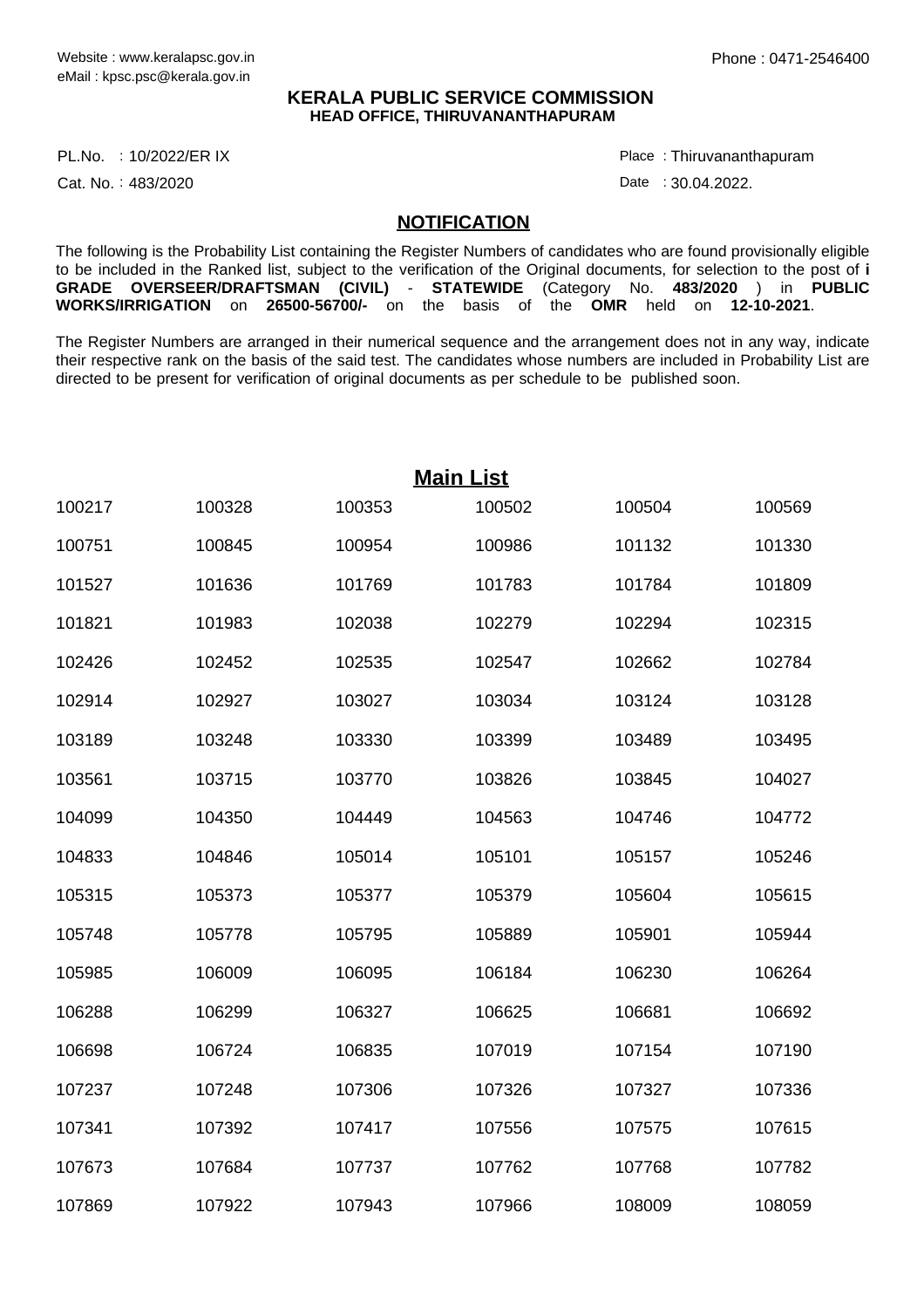### **KERALA PUBLIC SERVICE COMMISSION HEAD OFFICE, THIRUVANANTHAPURAM**

PL.No. : 10/2022/ER IX Place Proposal and the set of the set of the set of the set of the set of the set of th

Cat. No.: 483/2020

Thiruvananthapuram :

Date: 30.04.2022.

#### **NOTIFICATION**

The following is the Probability List containing the Register Numbers of candidates who are found provisionally eligible to be included in the Ranked list, subject to the verification of the Original documents, for selection to the post of **i GRADE OVERSEER/DRAFTSMAN (CIVIL)** - **STATEWIDE** (Category No. **483/2020** ) in **PUBLIC WORKS/IRRIGATION** on **26500-56700/-** on the basis of the **OMR** held on **12-10-2021**.

The Register Numbers are arranged in their numerical sequence and the arrangement does not in any way, indicate their respective rank on the basis of the said test. The candidates whose numbers are included in Probability List are directed to be present for verification of original documents as per schedule to be published soon.

|        |        |        | <b>Main List</b> |        |        |
|--------|--------|--------|------------------|--------|--------|
| 100217 | 100328 | 100353 | 100502           | 100504 | 100569 |
| 100751 | 100845 | 100954 | 100986           | 101132 | 101330 |
| 101527 | 101636 | 101769 | 101783           | 101784 | 101809 |
| 101821 | 101983 | 102038 | 102279           | 102294 | 102315 |
| 102426 | 102452 | 102535 | 102547           | 102662 | 102784 |
| 102914 | 102927 | 103027 | 103034           | 103124 | 103128 |
| 103189 | 103248 | 103330 | 103399           | 103489 | 103495 |
| 103561 | 103715 | 103770 | 103826           | 103845 | 104027 |
| 104099 | 104350 | 104449 | 104563           | 104746 | 104772 |
| 104833 | 104846 | 105014 | 105101           | 105157 | 105246 |
| 105315 | 105373 | 105377 | 105379           | 105604 | 105615 |
| 105748 | 105778 | 105795 | 105889           | 105901 | 105944 |
| 105985 | 106009 | 106095 | 106184           | 106230 | 106264 |
| 106288 | 106299 | 106327 | 106625           | 106681 | 106692 |
| 106698 | 106724 | 106835 | 107019           | 107154 | 107190 |
| 107237 | 107248 | 107306 | 107326           | 107327 | 107336 |
| 107341 | 107392 | 107417 | 107556           | 107575 | 107615 |
| 107673 | 107684 | 107737 | 107762           | 107768 | 107782 |
| 107869 | 107922 | 107943 | 107966           | 108009 | 108059 |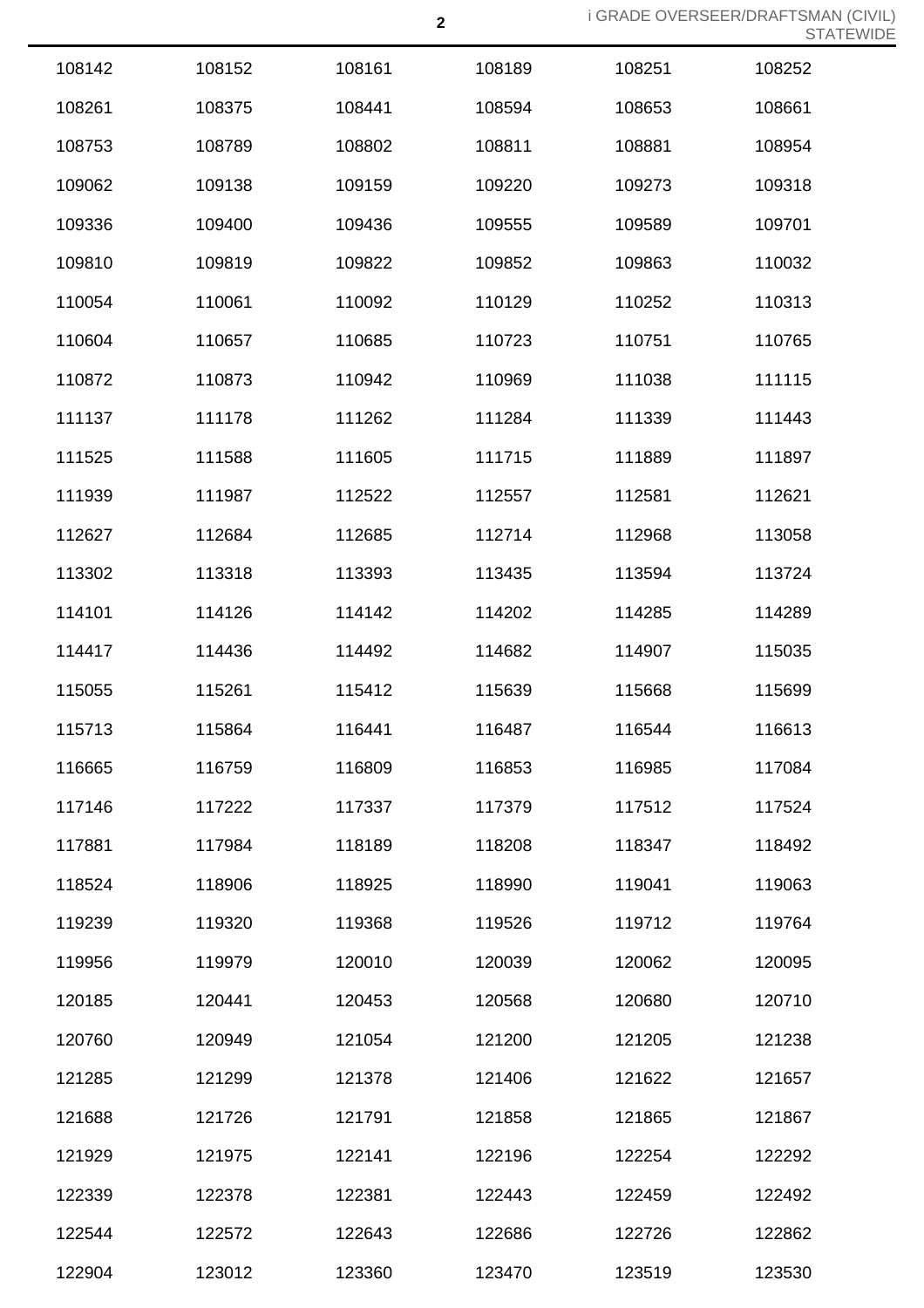| 108142 | 108152 | 108161 | 108189 | 108251 | 108252 |
|--------|--------|--------|--------|--------|--------|
| 108261 | 108375 | 108441 | 108594 | 108653 | 108661 |
| 108753 | 108789 | 108802 | 108811 | 108881 | 108954 |
| 109062 | 109138 | 109159 | 109220 | 109273 | 109318 |
| 109336 | 109400 | 109436 | 109555 | 109589 | 109701 |
| 109810 | 109819 | 109822 | 109852 | 109863 | 110032 |
| 110054 | 110061 | 110092 | 110129 | 110252 | 110313 |
| 110604 | 110657 | 110685 | 110723 | 110751 | 110765 |
| 110872 | 110873 | 110942 | 110969 | 111038 | 111115 |
| 111137 | 111178 | 111262 | 111284 | 111339 | 111443 |
| 111525 | 111588 | 111605 | 111715 | 111889 | 111897 |
| 111939 | 111987 | 112522 | 112557 | 112581 | 112621 |
| 112627 | 112684 | 112685 | 112714 | 112968 | 113058 |
| 113302 | 113318 | 113393 | 113435 | 113594 | 113724 |
| 114101 | 114126 | 114142 | 114202 | 114285 | 114289 |
| 114417 | 114436 | 114492 | 114682 | 114907 | 115035 |
| 115055 | 115261 | 115412 | 115639 | 115668 | 115699 |
| 115713 | 115864 | 116441 | 116487 | 116544 | 116613 |
| 116665 | 116759 | 116809 | 116853 | 116985 | 117084 |
| 117146 | 117222 | 117337 | 117379 | 117512 | 117524 |
| 117881 | 117984 | 118189 | 118208 | 118347 | 118492 |
| 118524 | 118906 | 118925 | 118990 | 119041 | 119063 |
| 119239 | 119320 | 119368 | 119526 | 119712 | 119764 |
| 119956 | 119979 | 120010 | 120039 | 120062 | 120095 |
| 120185 | 120441 | 120453 | 120568 | 120680 | 120710 |
| 120760 | 120949 | 121054 | 121200 | 121205 | 121238 |
| 121285 | 121299 | 121378 | 121406 | 121622 | 121657 |
| 121688 | 121726 | 121791 | 121858 | 121865 | 121867 |
| 121929 | 121975 | 122141 | 122196 | 122254 | 122292 |
| 122339 | 122378 | 122381 | 122443 | 122459 | 122492 |
| 122544 | 122572 | 122643 | 122686 | 122726 | 122862 |
| 122904 | 123012 | 123360 | 123470 | 123519 | 123530 |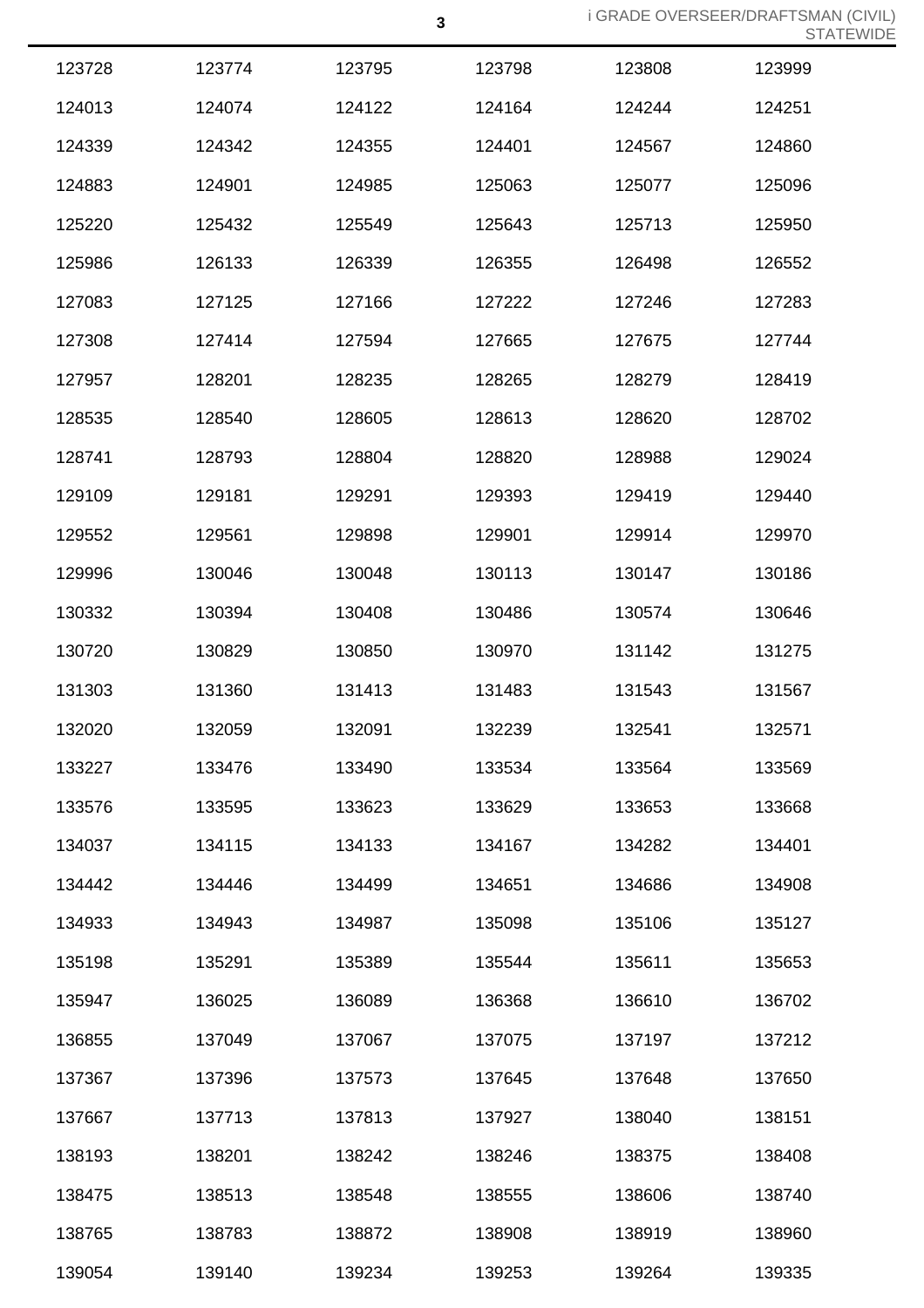| 123728 | 123774 | 123795 | 123798 | 123808 | 123999 |
|--------|--------|--------|--------|--------|--------|
| 124013 | 124074 | 124122 | 124164 | 124244 | 124251 |
| 124339 | 124342 | 124355 | 124401 | 124567 | 124860 |
| 124883 | 124901 | 124985 | 125063 | 125077 | 125096 |
| 125220 | 125432 | 125549 | 125643 | 125713 | 125950 |
| 125986 | 126133 | 126339 | 126355 | 126498 | 126552 |
| 127083 | 127125 | 127166 | 127222 | 127246 | 127283 |
| 127308 | 127414 | 127594 | 127665 | 127675 | 127744 |
| 127957 | 128201 | 128235 | 128265 | 128279 | 128419 |
| 128535 | 128540 | 128605 | 128613 | 128620 | 128702 |
| 128741 | 128793 | 128804 | 128820 | 128988 | 129024 |
| 129109 | 129181 | 129291 | 129393 | 129419 | 129440 |
| 129552 | 129561 | 129898 | 129901 | 129914 | 129970 |
| 129996 | 130046 | 130048 | 130113 | 130147 | 130186 |
| 130332 | 130394 | 130408 | 130486 | 130574 | 130646 |
| 130720 | 130829 | 130850 | 130970 | 131142 | 131275 |
| 131303 | 131360 | 131413 | 131483 | 131543 | 131567 |
| 132020 | 132059 | 132091 | 132239 | 132541 | 132571 |
| 133227 | 133476 | 133490 | 133534 | 133564 | 133569 |
| 133576 | 133595 | 133623 | 133629 | 133653 | 133668 |
| 134037 | 134115 | 134133 | 134167 | 134282 | 134401 |
| 134442 | 134446 | 134499 | 134651 | 134686 | 134908 |
| 134933 | 134943 | 134987 | 135098 | 135106 | 135127 |
| 135198 | 135291 | 135389 | 135544 | 135611 | 135653 |
| 135947 | 136025 | 136089 | 136368 | 136610 | 136702 |
| 136855 | 137049 | 137067 | 137075 | 137197 | 137212 |
| 137367 | 137396 | 137573 | 137645 | 137648 | 137650 |
| 137667 | 137713 | 137813 | 137927 | 138040 | 138151 |
| 138193 | 138201 | 138242 | 138246 | 138375 | 138408 |
| 138475 | 138513 | 138548 | 138555 | 138606 | 138740 |
| 138765 | 138783 | 138872 | 138908 | 138919 | 138960 |
| 139054 | 139140 | 139234 | 139253 | 139264 | 139335 |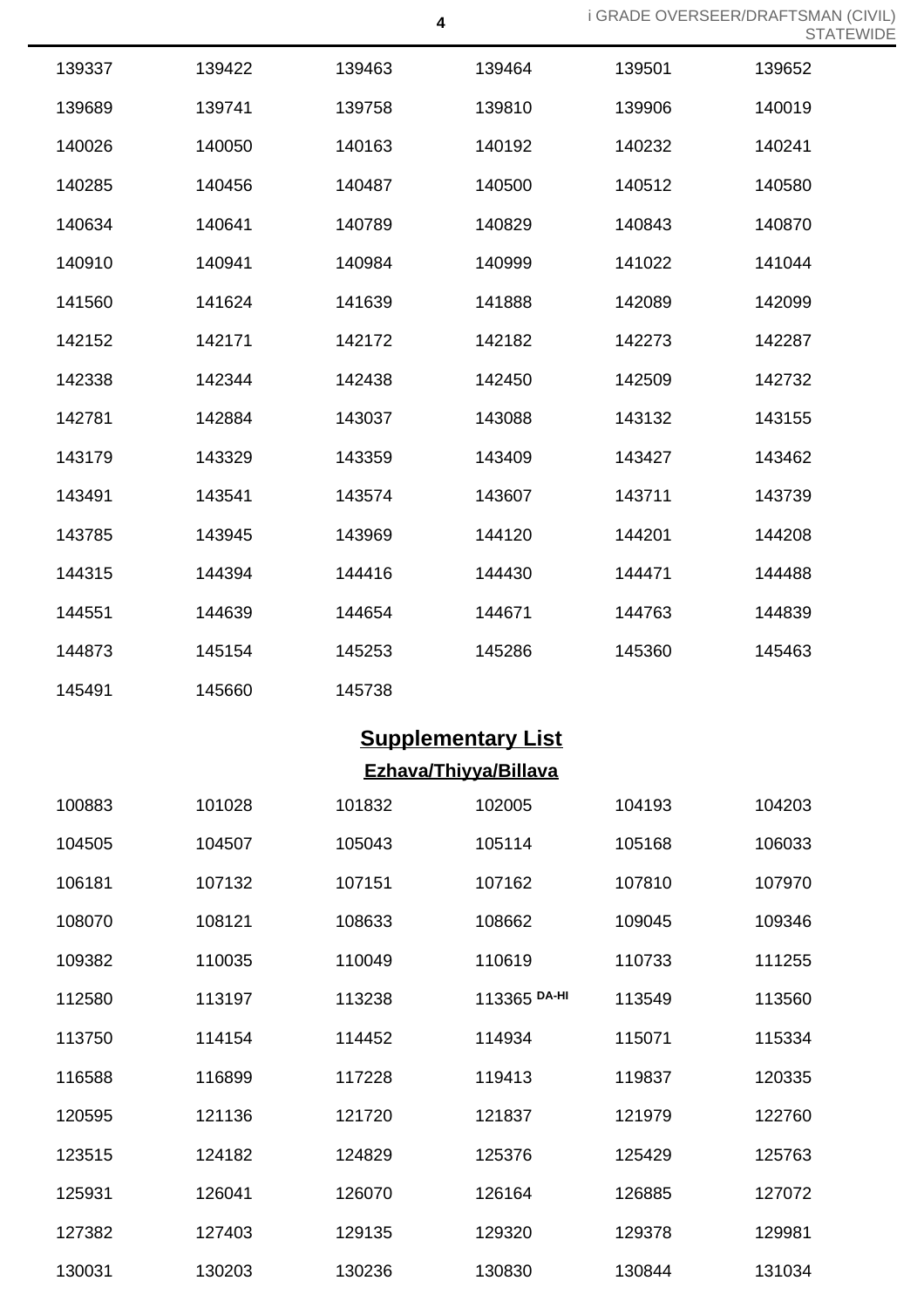| 139337 | 139422 | 139463 | 139464                    | 139501 | 139652 |
|--------|--------|--------|---------------------------|--------|--------|
| 139689 | 139741 | 139758 | 139810                    | 139906 | 140019 |
| 140026 | 140050 | 140163 | 140192                    | 140232 | 140241 |
| 140285 | 140456 | 140487 | 140500                    | 140512 | 140580 |
| 140634 | 140641 | 140789 | 140829                    | 140843 | 140870 |
| 140910 | 140941 | 140984 | 140999                    | 141022 | 141044 |
| 141560 | 141624 | 141639 | 141888                    | 142089 | 142099 |
| 142152 | 142171 | 142172 | 142182                    | 142273 | 142287 |
| 142338 | 142344 | 142438 | 142450                    | 142509 | 142732 |
| 142781 | 142884 | 143037 | 143088                    | 143132 | 143155 |
| 143179 | 143329 | 143359 | 143409                    | 143427 | 143462 |
| 143491 | 143541 | 143574 | 143607                    | 143711 | 143739 |
| 143785 | 143945 | 143969 | 144120                    | 144201 | 144208 |
| 144315 | 144394 | 144416 | 144430                    | 144471 | 144488 |
| 144551 | 144639 | 144654 | 144671                    | 144763 | 144839 |
| 144873 | 145154 | 145253 | 145286                    | 145360 | 145463 |
| 145491 | 145660 | 145738 |                           |        |        |
|        |        |        | <b>Supplementary List</b> |        |        |
|        |        |        | Ezhava/Thiyya/Billava     |        |        |
| 100883 | 101028 | 101832 | 102005                    | 104193 | 104203 |
| 104505 | 104507 | 105043 | 105114                    | 105168 | 106033 |
| 106181 | 107132 | 107151 | 107162                    | 107810 | 107970 |
| 108070 | 108121 | 108633 | 108662                    | 109045 | 109346 |
| 109382 | 110035 | 110049 | 110619                    | 110733 | 111255 |
| 112580 | 113197 | 113238 | 113365 DA-HI              | 113549 | 113560 |
| 113750 | 114154 | 114452 | 114934                    | 115071 | 115334 |
| 116588 | 116899 | 117228 | 119413                    | 119837 | 120335 |
| 120595 | 121136 | 121720 | 121837                    | 121979 | 122760 |
| 123515 | 124182 | 124829 | 125376                    | 125429 | 125763 |
| 125931 | 126041 | 126070 | 126164                    | 126885 | 127072 |
| 127382 | 127403 | 129135 | 129320                    | 129378 | 129981 |
| 130031 | 130203 | 130236 | 130830                    | 130844 | 131034 |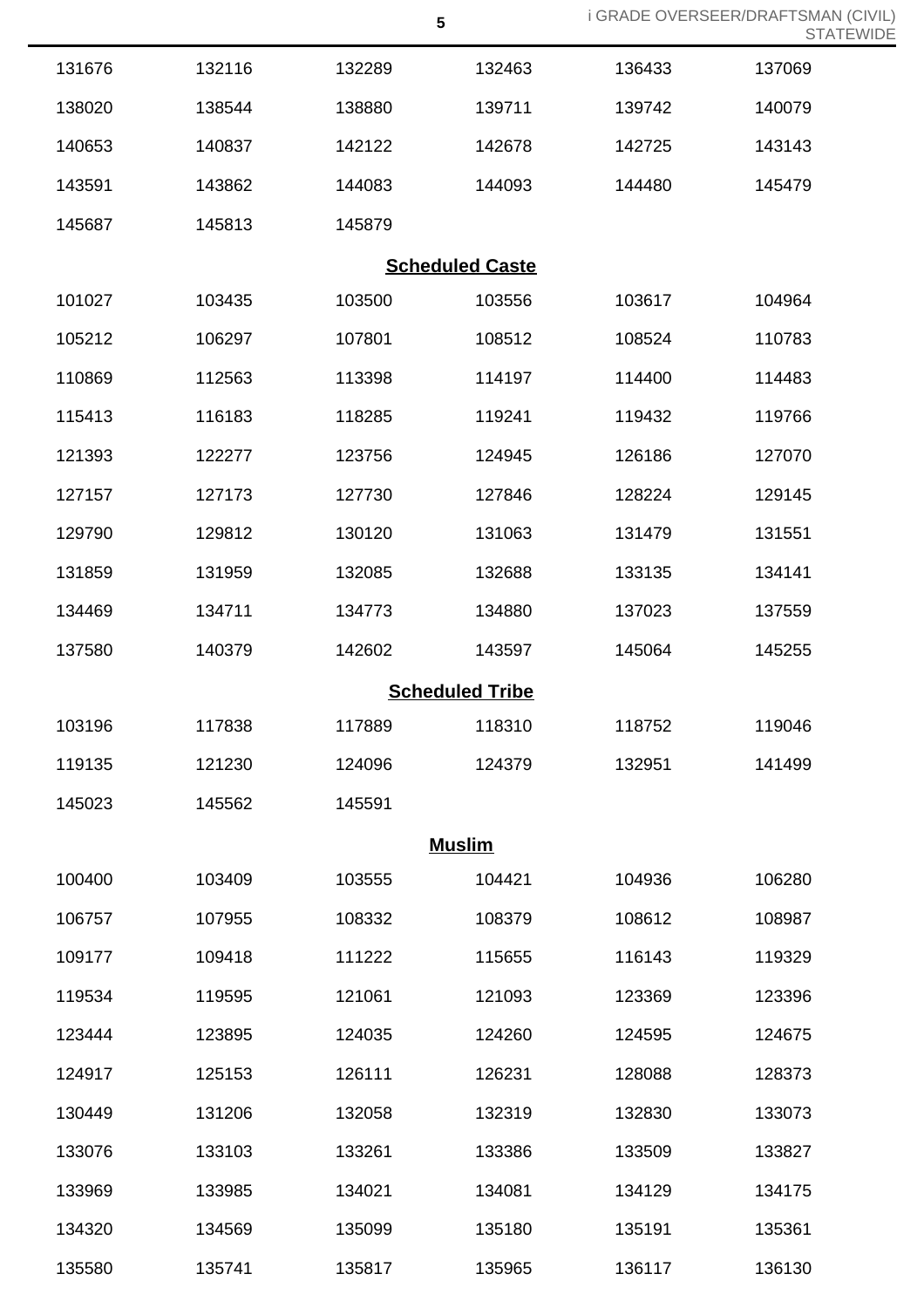| <b>i GRADE OVERSEER/DRAFTSMAN (CIVIL)</b> |                  |
|-------------------------------------------|------------------|
|                                           | <b>STATEWIDE</b> |

|        |        |        | $5\phantom{.0}$        | <b>i GRADE OVERSEER/DRAFTSMA</b> | <b>STA</b> |
|--------|--------|--------|------------------------|----------------------------------|------------|
| 131676 | 132116 | 132289 | 132463                 | 136433                           | 137069     |
| 138020 | 138544 | 138880 | 139711                 | 139742                           | 140079     |
| 140653 | 140837 | 142122 | 142678                 | 142725                           | 143143     |
| 143591 | 143862 | 144083 | 144093                 | 144480                           | 145479     |
| 145687 | 145813 | 145879 |                        |                                  |            |
|        |        |        | <b>Scheduled Caste</b> |                                  |            |
| 101027 | 103435 | 103500 | 103556                 | 103617                           | 104964     |
| 105212 | 106297 | 107801 | 108512                 | 108524                           | 110783     |
| 110869 | 112563 | 113398 | 114197                 | 114400                           | 114483     |
| 115413 | 116183 | 118285 | 119241                 | 119432                           | 119766     |
| 121393 | 122277 | 123756 | 124945                 | 126186                           | 127070     |
| 127157 | 127173 | 127730 | 127846                 | 128224                           | 129145     |
| 129790 | 129812 | 130120 | 131063                 | 131479                           | 131551     |
| 131859 | 131959 | 132085 | 132688                 | 133135                           | 134141     |
| 134469 | 134711 | 134773 | 134880                 | 137023                           | 137559     |
| 137580 | 140379 | 142602 | 143597                 | 145064                           | 145255     |
|        |        |        | <b>Scheduled Tribe</b> |                                  |            |
| 103196 | 117838 | 117889 | 118310                 | 118752                           | 119046     |
| 119135 | 121230 | 124096 | 124379                 | 132951                           | 141499     |
| 145023 | 145562 | 145591 |                        |                                  |            |
|        |        |        | <b>Muslim</b>          |                                  |            |
| 100400 | 103409 | 103555 | 104421                 | 104936                           | 106280     |
| 106757 | 107955 | 108332 | 108379                 | 108612                           | 108987     |
| 109177 | 109418 | 111222 | 115655                 | 116143                           | 119329     |
| 119534 | 119595 | 121061 | 121093                 | 123369                           | 123396     |
| 123444 | 123895 | 124035 | 124260                 | 124595                           | 124675     |
| 124917 | 125153 | 126111 | 126231                 | 128088                           | 128373     |
| 130449 | 131206 | 132058 | 132319                 | 132830                           | 133073     |
| 133076 | 133103 | 133261 | 133386                 | 133509                           | 133827     |
| 133969 | 133985 | 134021 | 134081                 | 134129                           | 134175     |
| 134320 | 134569 | 135099 | 135180                 | 135191                           | 135361     |
| 135580 | 135741 | 135817 | 135965                 | 136117                           | 136130     |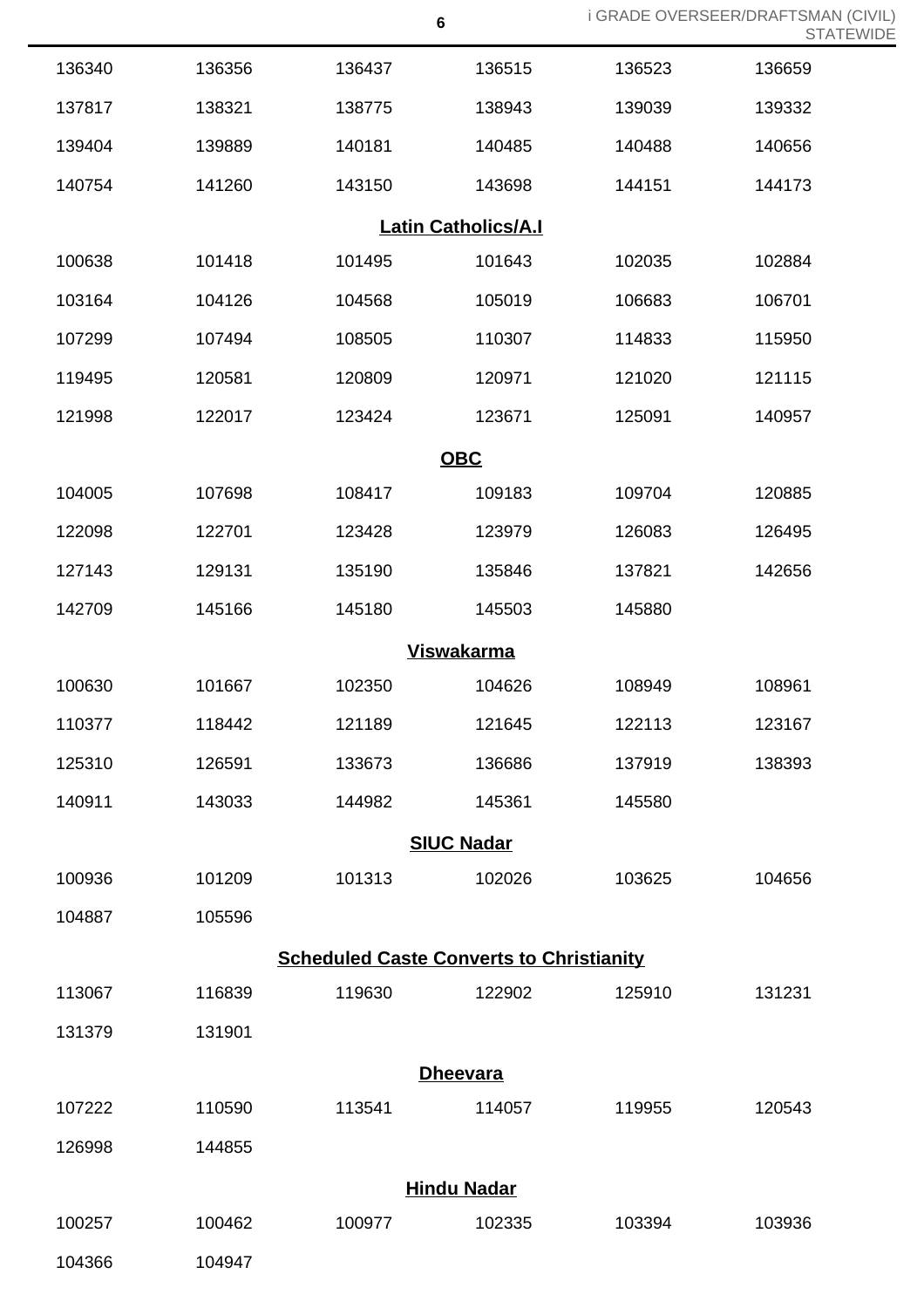| 136340 | 136356 | 136437                                          | 136515                     | 136523 | 136659 |
|--------|--------|-------------------------------------------------|----------------------------|--------|--------|
| 137817 | 138321 | 138775                                          | 138943                     | 139039 | 139332 |
| 139404 | 139889 | 140181                                          | 140485                     | 140488 | 140656 |
| 140754 | 141260 | 143150                                          | 143698                     | 144151 | 144173 |
|        |        |                                                 | <b>Latin Catholics/A.I</b> |        |        |
| 100638 | 101418 | 101495                                          | 101643                     | 102035 | 102884 |
| 103164 | 104126 | 104568                                          | 105019                     | 106683 | 106701 |
| 107299 | 107494 | 108505                                          | 110307                     | 114833 | 115950 |
| 119495 | 120581 | 120809                                          | 120971                     | 121020 | 121115 |
| 121998 | 122017 | 123424                                          | 123671                     | 125091 | 140957 |
|        |        |                                                 | <b>OBC</b>                 |        |        |
| 104005 | 107698 | 108417                                          | 109183                     | 109704 | 120885 |
| 122098 | 122701 | 123428                                          | 123979                     | 126083 | 126495 |
| 127143 | 129131 | 135190                                          | 135846                     | 137821 | 142656 |
| 142709 | 145166 | 145180                                          | 145503                     | 145880 |        |
|        |        |                                                 | <b>Viswakarma</b>          |        |        |
| 100630 | 101667 | 102350                                          | 104626                     | 108949 | 108961 |
| 110377 | 118442 | 121189                                          | 121645                     | 122113 | 123167 |
| 125310 | 126591 | 133673                                          | 136686                     | 137919 | 138393 |
| 140911 | 143033 | 144982                                          | 145361                     | 145580 |        |
|        |        |                                                 | <b>SIUC Nadar</b>          |        |        |
| 100936 | 101209 | 101313                                          | 102026                     | 103625 | 104656 |
| 104887 | 105596 |                                                 |                            |        |        |
|        |        | <b>Scheduled Caste Converts to Christianity</b> |                            |        |        |
| 113067 | 116839 | 119630                                          | 122902                     | 125910 | 131231 |
| 131379 | 131901 |                                                 |                            |        |        |
|        |        |                                                 | <b>Dheevara</b>            |        |        |
| 107222 | 110590 | 113541                                          | 114057                     | 119955 | 120543 |
| 126998 | 144855 |                                                 |                            |        |        |
|        |        |                                                 | <b>Hindu Nadar</b>         |        |        |
| 100257 | 100462 | 100977                                          | 102335                     | 103394 | 103936 |
|        |        |                                                 |                            |        |        |

104947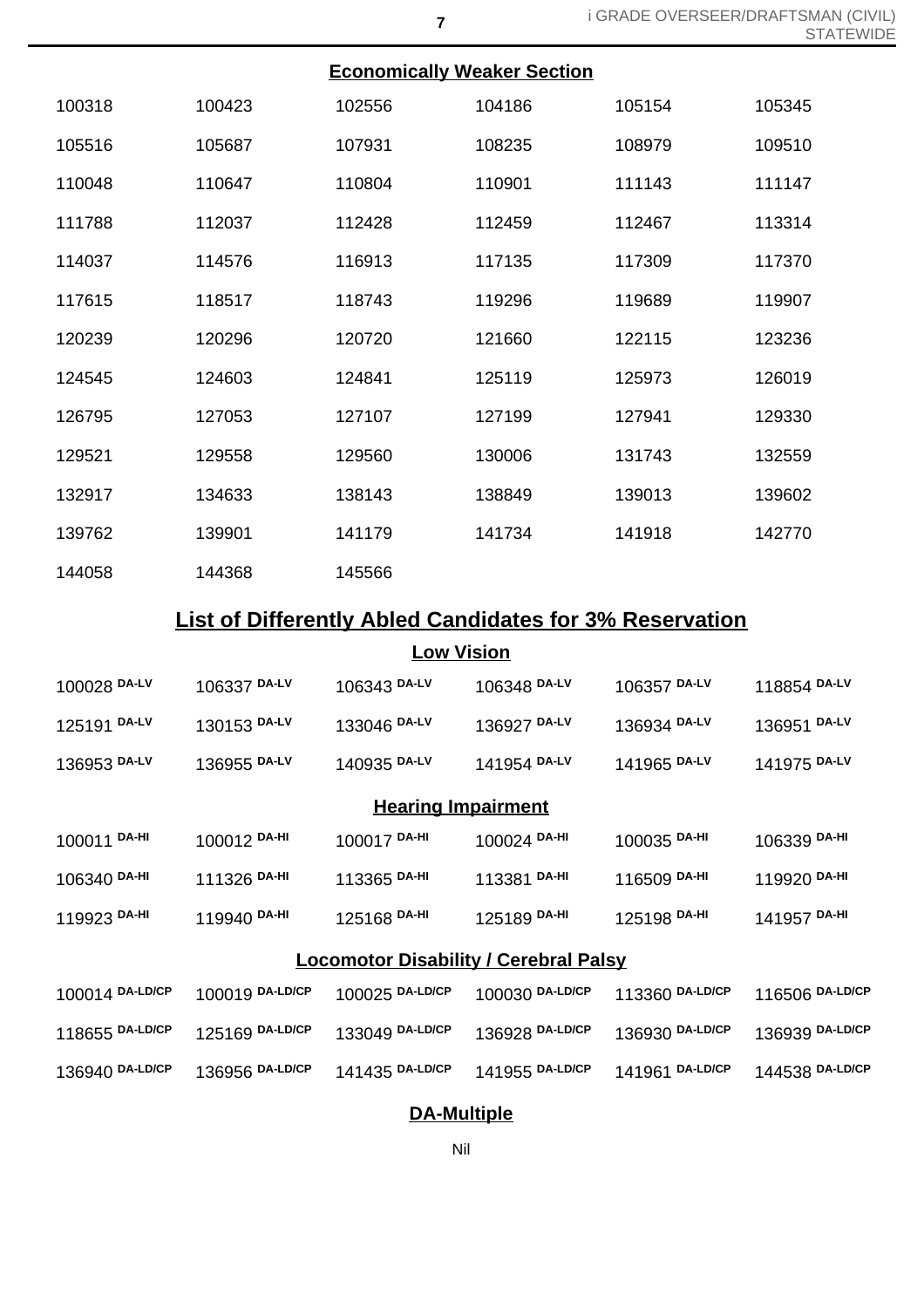| <b>Economically Weaker Section</b> |  |
|------------------------------------|--|
|                                    |  |

| 100318 | 100423 | 102556 | 104186 | 105154 | 105345 |
|--------|--------|--------|--------|--------|--------|
| 105516 | 105687 | 107931 | 108235 | 108979 | 109510 |
| 110048 | 110647 | 110804 | 110901 | 111143 | 111147 |
| 111788 | 112037 | 112428 | 112459 | 112467 | 113314 |
| 114037 | 114576 | 116913 | 117135 | 117309 | 117370 |
| 117615 | 118517 | 118743 | 119296 | 119689 | 119907 |
| 120239 | 120296 | 120720 | 121660 | 122115 | 123236 |
| 124545 | 124603 | 124841 | 125119 | 125973 | 126019 |
| 126795 | 127053 | 127107 | 127199 | 127941 | 129330 |
| 129521 | 129558 | 129560 | 130006 | 131743 | 132559 |
| 132917 | 134633 | 138143 | 138849 | 139013 | 139602 |
| 139762 | 139901 | 141179 | 141734 | 141918 | 142770 |
| 144058 | 144368 | 145566 |        |        |        |

# **List of Differently Abled Candidates for 3% Reservation**

## **Low Vision**

| 100028 DA-LV                                 | 106337 DA-LV    | 106343 DA-LV              | 106348 DA-LV    | 106357 DA-LV    | 118854 DA-LV    |  |
|----------------------------------------------|-----------------|---------------------------|-----------------|-----------------|-----------------|--|
| 125191 DA-LV                                 | 130153 DA-LV    | 133046 DA-LV              | 136927 DA-LV    | 136934 DA-LV    | 136951 DA-LV    |  |
| 136953 DA-LV                                 | 136955 DA-LV    | 140935 DA-LV              | 141954 DA-LV    | 141965 DA-LV    | 141975 DA-LV    |  |
|                                              |                 | <b>Hearing Impairment</b> |                 |                 |                 |  |
| 100011 DA-HI                                 | 100012 DA-HI    | 100017 DA-HI              | 100024 DA-HI    | 100035 DA-HI    | 106339 DA-HI    |  |
| 106340 DA-HI                                 | 111326 DA-HI    | 113365 DA-HI              | 113381 DA-HI    | 116509 DA-HI    | 119920 DA-HI    |  |
| 119923 DA-HI                                 | 119940 DA-HI    | 125168 DA-HI              | 125189 DA-HI    | 125198 DA-HI    | 141957 DA-HI    |  |
| <b>Locomotor Disability / Cerebral Palsy</b> |                 |                           |                 |                 |                 |  |
| 100014 DA-LD/CP                              | 100019 DA-LD/CP | 100025 DA-LD/CP           | 100030 DA-LD/CP | 113360 DA-LD/CP | 116506 DA-LD/CP |  |
| 118655 DA-LD/CP                              | 125169 DA-LD/CP | 133049 DA-LD/CP           | 136928 DA-LD/CP | 136930 DA-LD/CP | 136939 DA-LD/CP |  |

## **DA-Multiple**

**DA-LD/CP** 136956 **DA-LD/CP** 141435 **DA-LD/CP** 141955 **DA-LD/CP** 141961 **DA-LD/CP** 144538 **DA-LD/CP**